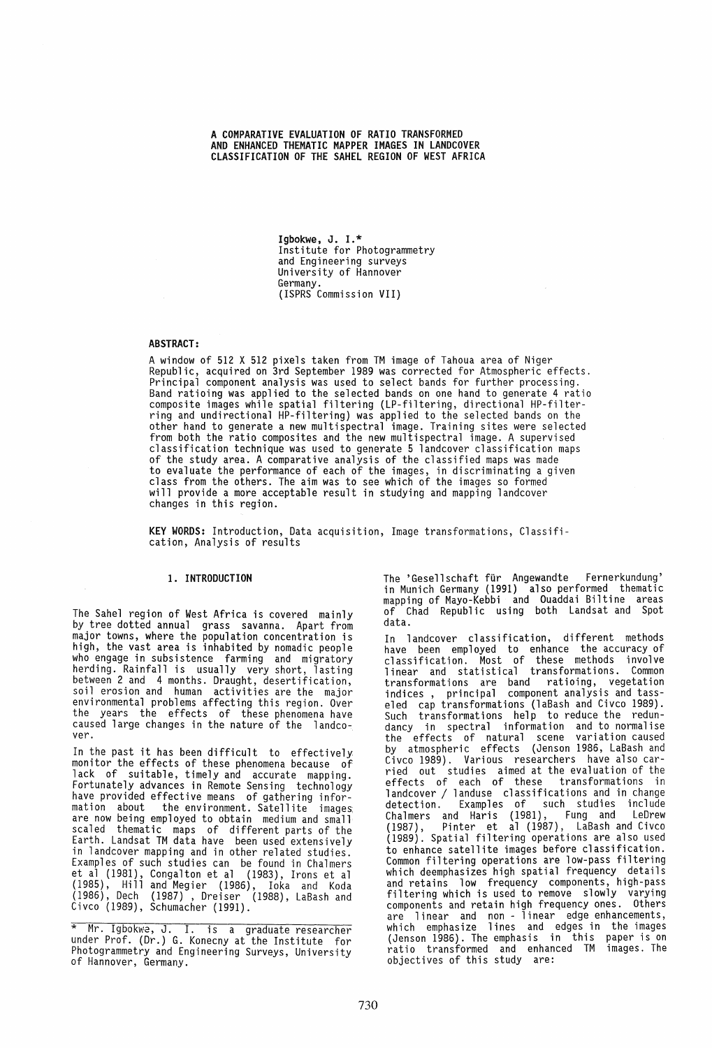A COMPARATIVE EVALUATION OF RATIO TRANSFORMED AND ENHANCED THEMATIC MAPPER IMAGES IN LANDCOVER CLASSIFICATION OF THE SAHEL REGION OF WEST AFRICA

> Igbokwe, J. 1.\* Institute for Photogrammetry and Engineering surveys University of Hannover Germany. (ISPRS Commission VII)

# ABSTRACT:

A window of 512 X 512 pixels taken from TM image of Tahoua area of Niger<br>Republic, acquired on 3rd September 1989 was corrected for Atmospheric effects. Principal component analysis was used to select bands for further processing. Band ratioing was applied to the selected bands on one hand to generate 4 ratio composite images while spatial filtering (LP-filtering, directional HP-filterring and undirectional HP-filtering) was applied to the selected bands on the other hand to generate a new multispectral image. Training sites were selected from both the ratio composites and the new multispectral image. A supervised<br>classification technique was used to generate 5 landcover classification maps of the study area. A comparative analysis of the classified maps was made to evaluate the performance of each of the images, in discriminating a given class from the others. The aim was to see which of the images so formed will provide a more acceptable result in studying and mapping landcover changes in this region.

KEY WORDS: Introduction, Data acquisition, Image transformations, Classification, Analysis of results

### 1. INTRODUCTION

The Sahel region of West Africa is covered mainly by tree dotted annual grass savanna. Apart from major towns, where the population concentration is high, the vast area is inhabited by nomadic people who engage in subsistence farming and migratory<br>herding. Rainfall is usually very short, lasting between 2 and 4 months. Draught, desertification, soil erosion and human activities are the major environmental problems affecting this region. Over the years the effects of these phenomena have caused large changes in the nature of the landcover.

In the past it has been difficult to effectively monitor the effects of these phenomena because of lack of suitable, timely and accurate mapping. Fortunately advances in Remote Sensing technology have provided effective means of gathering information about the environment. Satellite images are now being employed to obtain medium and small scaled thematic maps of different parts of the Earth. Landsat TM data have been used extensively in landcover mapping and in other related studies. Examples of such studies can be found in Chalmers et al (1981), Congalton et al (1983), Irons et al (1985), Hill and Megier (1986), Ioka and Koda (1986), Dech (1987), Dreiser (1988), LaBash and Civco (1989), Schumacher (1991).

The 'Gesellschaft für Angewandte Fernerkundung'<br>in Munich Germany (1991) also performed thematic mapping of Mayo-Kebbi and Ouaddai Biltine areas of Chad Republic using both Landsat and Spot data.

In landcover classification, different methods have been employed to enhance the accuracy of classification. Most of these methods involve linear and statistical transformations. Common transformations are band ratioing, vegetation<br>indices, principal component analysis and tasseled cap transformations (laBash and Civco 1989). Such transformations help to reduce the redundancy in spectral information and to normalise the effects of natural scene variation caused by atmospheric effects (Jenson 1986, LaBash and Civco 1989). Various researchers have also carried out studies aimed at the evaluation of the effects of each of these transformations in<br>landcover / landuse classifications and in change landcover / landuse classifications and in change<br>detection. Examples of such studies include Chalmers and Haris (1981), Fung and LeDrew (1987), Pinter et al (1987), LaBash and Civco (1989). Spatial filtering operations are also used to enhance satellite images before classification. Common filtering operations are low-pass filtering which deemphasizes high spatial frequency details and retains low frequency components, high-pass filtering which is used to remove slowly varying components and retain high frequency ones. Others are linear and non - linear edge enhancements, which emphasize lines and edges in the images<br>(Jenson 1986). The emphasis in this paper is on ratio transformed and enhanced TM images. The objectives of this study are:

<sup>\*</sup> Mr. Igbokw2, J. I. is a graduate researcher under Prof. (Dr.) G. Konecny at the Institute for Photogrammetry and Engineering Surveys, University<br>of Hannover, Germany.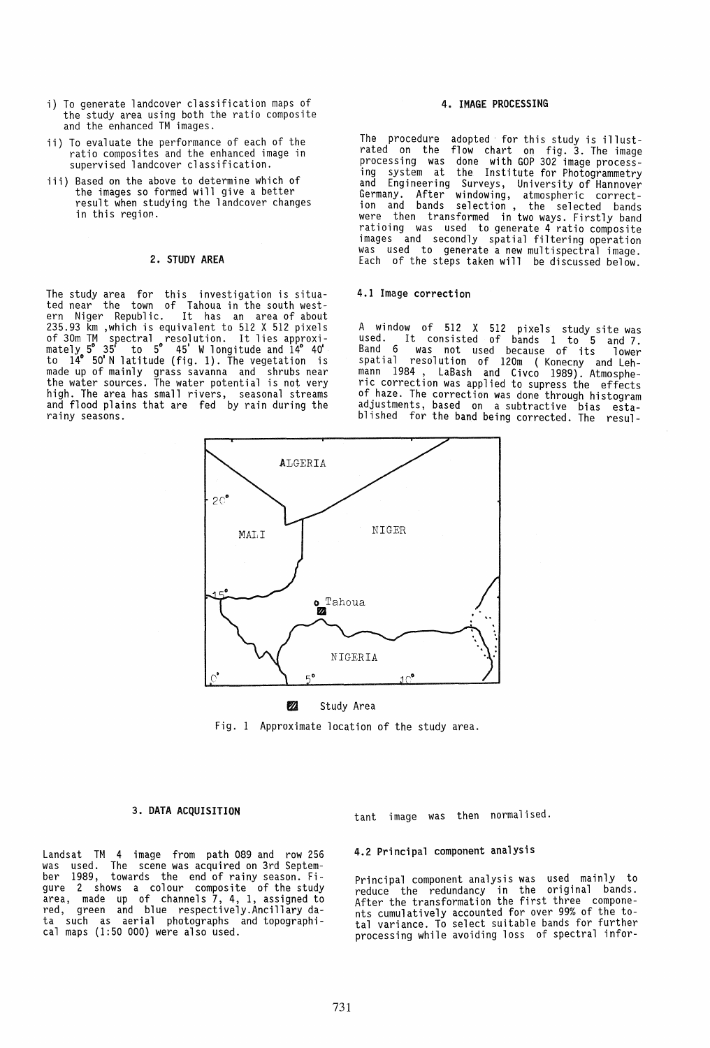- i) To generate landcover classification maps of the study area using both the ratio composite and the enhanced TM images.
- ii) To evaluate the performance of each of the ratio composites and the enhanced image in supervised landcover classification.
- iii) Based on the above to determine which of the images so formed will give a better result when studying the landcover changes in this regior.

#### 2. STUDY AREA

The study area for this investigation is situated near the town of Tahoua in the south west-ern Niger Republic. It has an area of about 235.93 km ,which is equivalent to 512 X 512 pixels<br>of 30m TM spectral resolution. It lies approxi-<br>mately 5°35' to 5° 45' W longitude and 14°40' to 140 50' N latitude (fig. 1). The vegetation is made up of mainly grass savanna and shrubs near the water sources. The water potential is not very high. The area has small rivers, seasonal streams and flood plains that are fed by rain during the rainy seasons.

# 4. IMAGE PROCESSING

The procedure adopted for this study is illustrated on the flow chart on fig. 3. The image processing was done with GOP 302 image processing system at the Institute for Photogrammetry and Engineering Surveys, University of Hannover Germany. After windowing, atmospheric correction and bands selection, the selected bands were then transformed in two ways. Firstly band ratioing was used to generate 4 ratio composite images and secondly spatial filtering operation was used to generate a new multispectral image. Each of the steps taken will be discussed below.

#### 4.1 Image correction

A window of 512 X 512 pixels study site was used. It consisted of bands 1 to 5 and 7. Band 6 was not used because of its lower spatial resolution of 120m (Konecny and Lehmann 1984 , LaBash and Civco 1989). Atmosphe-<br>ric correction was applied to supress the effects of.haze. The correction was done through histogram adJustments, based on a subtractive bias established for the band being corrected. The resul-



## Study Area

Fig. 1 Approximate location of the study area.

#### 3. DATA ACQUISITION

Landsat TM 4 image from path 089 and row 256 was used. The scene-was-acquired on-3rd-Septem-<br>ber 1989, towards the end of rainy season. Figure 2 shows a colour composite of the study area, made up of channels 7, 4, 1, assigned to red, green and blue respectively.Ancillary data such as aerial photographs and topographi- cal maps (1:50 000) were also used.

tant image was then normalised.

## 4.2 Principal component analysis

Principal component analysis was used mainly to reduce the redundancy in the original bands. After the transformation the first three components cumulatively accounted for over 99% of the total variance. To select suitable bands for further processing while avoiding loss of spectral infor-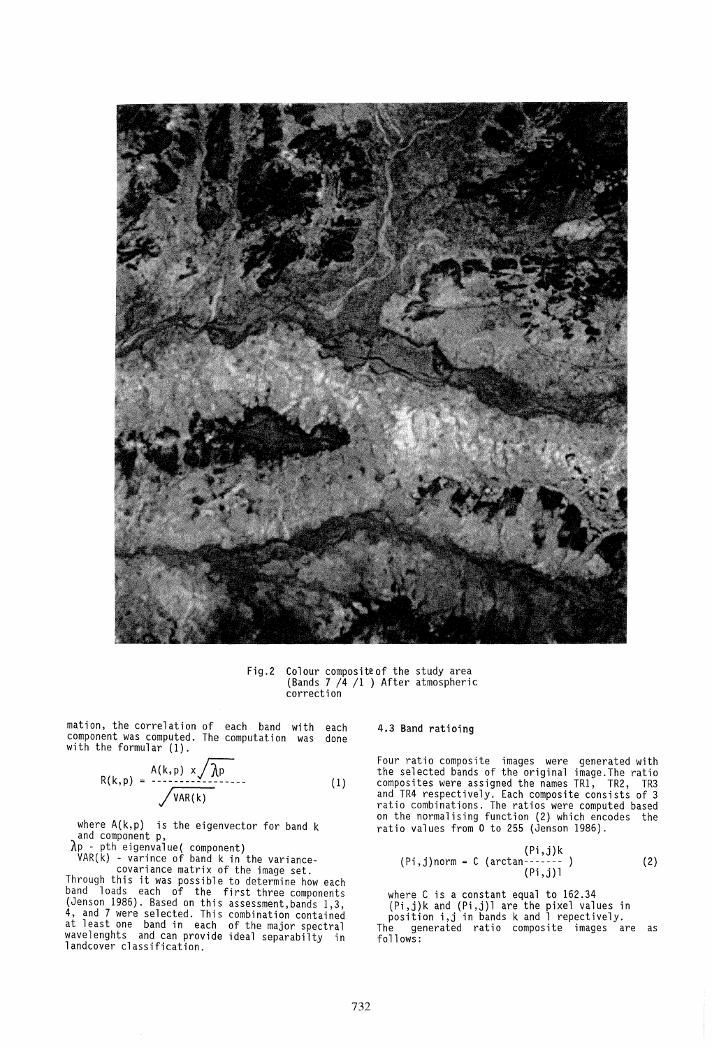

Fig.2 Colour compositeof the study area (Bands 7 /4 /1 ) After atmospheric correction

mation, the correlation of each band with each component was computed. The computation was done with the formular (1).

$$
R(k,p) = \frac{A(k,p) \times \sqrt{\lambda p}}{\sqrt{\text{VAR}(k)}} \tag{1}
$$

where  $A(k,p)$  is the eigenvector for band k and component  $p$ , and component p,<br>  $\lambda$ p - pth eigenvalue( component)<br>
VAR(k) - varince of band k in the variance-

covariance matrix of the image set.

Through this it was possible to determine how each band loads each of the first three components (Jenson 1986). Based on this assessment,bands 1,3, 4, and 7 were selected. This combination contained at least one band in each of the major spectral wavelenghts and can provide ideal separabilty in landcover classification.

#### 4.3 Band ratioing

Four ratio composite images were generated with the selected bands of the original image.The ratio composites were assigned the names TR1, TR2, TR3 and TR4 respectively. Each composite consists of 3 ratio combinations. The ratios were computed based on the normalising function (2) which encodes the ratio values from 0 to 255 (Jenson 1986).

$$
(Pi,j) \text{norm} = C \text{ (arctan---2)}
$$
  
(Pi,j)1 (2)

where C is a constant equal to 162.34 (Pi,j)k and (Pi,j)l are the pixel values in position i,j in bands k and 1 repectively. The generated ratio composite images are as follows: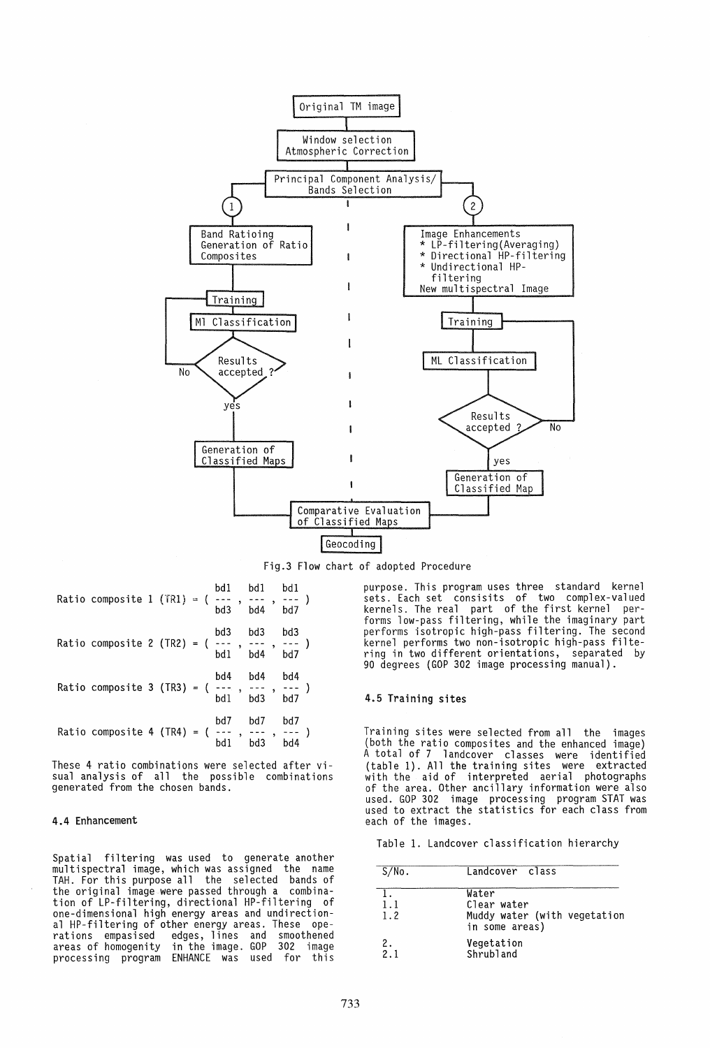

Fig.3 Flow chart of adopted Procedure

| bd1 bd1 bd1 bd1 bd1 bd1 composite 1 (TR1) = (---- , --- , --- )                                                                                                                                                       |  |  | bd3 | bd4     | bd7 |  |
|-----------------------------------------------------------------------------------------------------------------------------------------------------------------------------------------------------------------------|--|--|-----|---------|-----|--|
| Ratio composite 2 (TR2) = $\begin{pmatrix} 1 & 1 & 1 & 1 \\ 0 & -1 & 1 & 1 \\ 0 & 0 & 1 & 1 \end{pmatrix}$ bd4 bd7                                                                                                    |  |  |     | bd3 bd3 | bd3 |  |
| Ratio composite 3 (TR3) = $\begin{pmatrix} bd4 & bd4 & bd4 \\ --2 & 2 & -2 \\ bd1 & bd3 & bd7 \end{pmatrix}$                                                                                                          |  |  |     |         |     |  |
| Ratio composite 4 (TR4) = $\begin{pmatrix} 6 & 1 & 1 & 1 & 1 \\ 1 & 1 & 1 & 1 & 1 \\ 0 & 1 & 1 & 1 & 1 \end{pmatrix}$ and $\begin{pmatrix} 6 & 1 & 1 & 1 & 1 \\ 1 & 1 & 1 & 1 & 1 \\ 0 & 1 & 1 & 1 & 1 \end{pmatrix}$ |  |  | bd7 | bd7     | bd7 |  |

These 4 ratio combinations were selected after visual analysis of all the possible combinations generated from the chosen bands.

## 4.4 Enhancement

Spatial filtering was used to generate another multispectral image, which was assigned the name TAH. For this purpose all the selected bands of the original image were passed through a combination of LP-filtering, directional HP-filtering of one-dimensional high energy areas and undirectional HP-filtering of other energy areas. These ope-<br>rations empasised edges, lines and smoothened<br>areas of homogenity in the image. GOP 302 image edges, lines and smoothened<br>in the image. GOP 302 image processing program ENHANCE was used for this

purpose. This program uses three standard kernel sets. Each set consisits of two complex-valued kernels. The real part of the first kernel per- forms low-pass filtering, while the imaginary part performs isotropic high-pass filtering. The second kernel performs two non-isotropic high-pass filtering in two different orientations, separated by 90 degrees (GOP 302 image processing manual).

## 4.5 Training sites

Training sites were selected from all the images (both the ratio composites and the enhanced image) A total of 7 landcover classes were identified (table 1). All the training sites were extracted with the aid of interpreted aerial photographs of the area. Other ancillary information were also used. GOP 302 image processing program STAT was used to extract the statistics for each class from each of the images.

Table 1. Landcover classification hierarchy

| S/No.           | Landcover class                                                        |
|-----------------|------------------------------------------------------------------------|
| 1.1<br>1.2      | Water<br>Clear water<br>Muddy water (with vegetation<br>in some areas) |
| $\frac{2}{2}$ . | Vegetation<br>Shrubland                                                |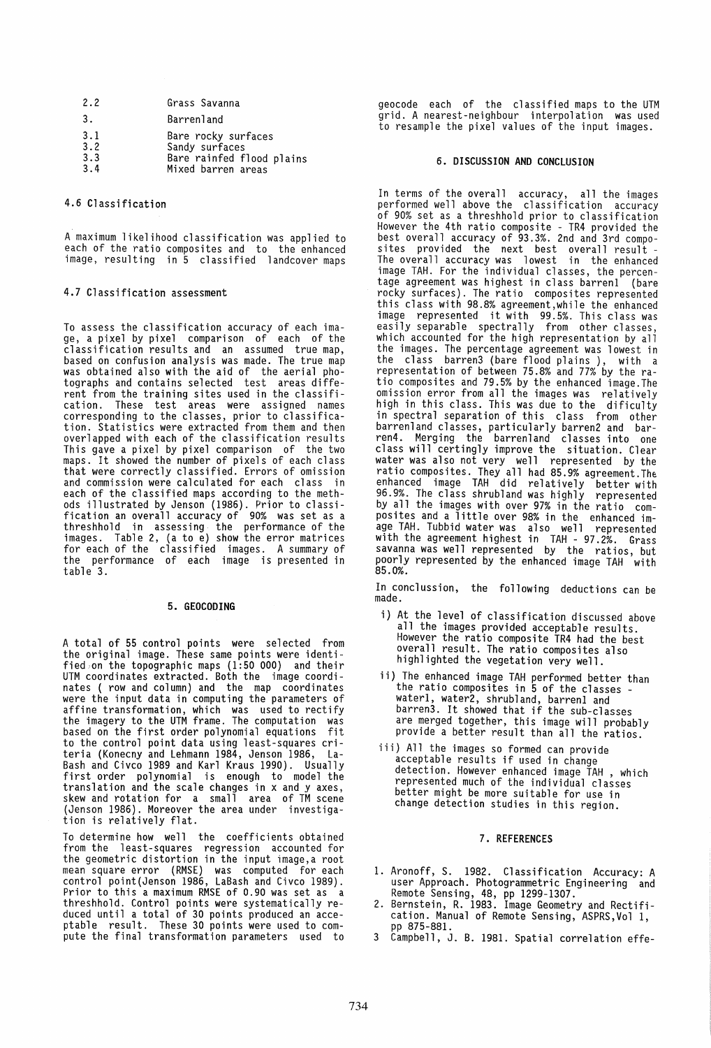| 2.2                      | Grass Savanna                                                                            |
|--------------------------|------------------------------------------------------------------------------------------|
| 3.                       | Barrenland                                                                               |
| 3.1<br>3.2<br>3.3<br>3.4 | Bare rocky surfaces<br>Sandy surfaces<br>Bare rainfed flood plains<br>Mixed barren areas |

### 4.6 Classification

A maximum likelihood classification was applied to each of the ratio composites and to the enhanced image, resulting in 5 classified landcover maps

# 4.7 Classification assessment

To assess the classification accuracy of each image, a pixel by pixel comparison of each of the classification results and an assumed true map, based on confusion analysis was made. The true map was obtained also with the aid of the aerial photographs and contains selected test areas different from the training sites used in the classification. These test areas were assigned names corresponding to the classes, prior to classification. Statistics were extracted from them and then overlapped with each of the classification results This gave a pixel by pixel comparison of the two maps. It showed the number of pixels of each class that were correctly classified. Errors of omission and commission were calculated for each class in each of the classified maps according to the methods illustrated by Jenson (1986). Prior to classification an overall accuracy of 90% was set as a threshhold in assessing the performance of the images. Table 2, (a to e) show the error matrices for each of the classified images. A summary of the performance of each image is presented in table 3.

#### 5. GEOCODING

A total of 55 control points were selected from the original image. These same points were identified,on the topographic maps (1:50 000) and their UTM coordinates extracted. Both the image coordinates ( row and column) and the map coordinates were the input data in computing the parameters of affine transformation, which was used to rectify the imagery to the UTM frame. The computation was based on the first order polynomial equations fit to the control point data using least-squares criteria (Konecny and Lehmann 1984, Jenson 1986, La-Bash and Civco 1989 and Karl Kraus 1990). Usually first order polynomial is enough to model the translation and the scale changes in x and y axes, skew and rotation for a small area of TM scene (Jenson 1986). Moreover the area under investiga-<br>tion is relatively flat.

To determine how well the coefficients obtained from the least-squares regression accounted for the geometric distortion in the input image,a root mean square error (RMSE) was computed for each control point(Jenson 1986, LaBash and Civco 1989). Prior to this a maximum RMSE of 0.90 was set as a threshhold. Control points were systematically reduced until a total of 30 points produced an acceptable result. These 30 points were used to compute the final transformation parameters used to geocode each of the classified maps to the UTM grid. A nearest-neighbour interpolation was used to resample the pixel values of the input images.

## 6. DISCUSSION AND CONCLUSION

In terms of the overall accuracy, all the images performed well above the classification accuracy<br>of 90% set as a threshhold prior to classification However the 4th ratio composite - TR4 provided the best overall accuracy of 93.3%. 2nd and 3rd compo-<br>sites provided the next best overall result -<br>The overall accuracy was lowest in the enhanced image TAH. For the individual classes, the percentage agreement was highest in class barrenl (bare rocky surfaces). The ratio composites represented this class with 98.8% agreement,while the enhanced image represented it with 99.5%. This class was easily separable spectrally from other classes, which accounted for the high representation by all the images. The percentage agreement was lowest in the class barren3 (bare flood plains), with a representation of between 75.8% and 77% by the ratio composites and 79.5% by the enhanced image.The omission error from all the images was relatively high in this class. This was due to the dificulty in spectral separation of this class from other barrenland classes, particularly barren2 and barren4. Merging the barrenland classes into one class will certingly improve the situation. Clear water was also not very well represented by the ratio composites. They all had 85.9% agreement.The enhanced image TAH did relatively better with 96.9%. The class shrubland was highly represented by all the images with over 97% in the ratio composites and a little over 98% in the enhanced image TAH. Tubbid water was also well represented<br>with the agreement highest in TAH - 97.2%. Grass savanna was well represented by the ratios, but poorly represented by the enhanced image TAH with 85.0%.

In conclussion, the following deductions can be made.

- i) At the level of classification discussed above all the images provided acceptable results. However the ratio composite TR4 had the best overall result. The ratio composites also highlighted the vegetation very well.
- ii) The enhanced image TAH performed better than the ratio composites in 5 of the classes -<br>water1, water2, shrubland, barren1 and barren3. It showed that if the sub-classes<br>barren3. It showed that if the sub-classes are merged together, this image will probably provide a better result than all the ratios.
- iii) All the images so formed can provide acceptable results if used in change detection. However enhanced image TAH , which represented much of the individual classes better might be more suitable for use in change detection studies in this region.

# 7. REFERENCES

- 1. Aronoff, S. 1982. Classification Accuracy: A user Approach. Photogrammetric Engineering and Remote Sensing, 48, pp 1299-1307.
- 2. Bernstein, R. 1983. Image Geometry and Rectification. Manual of Remote Sensing, ASPRS,Vol 1, pp 875-881.
- 3 Campbell, J. B. 1981. Spatial correlation effe-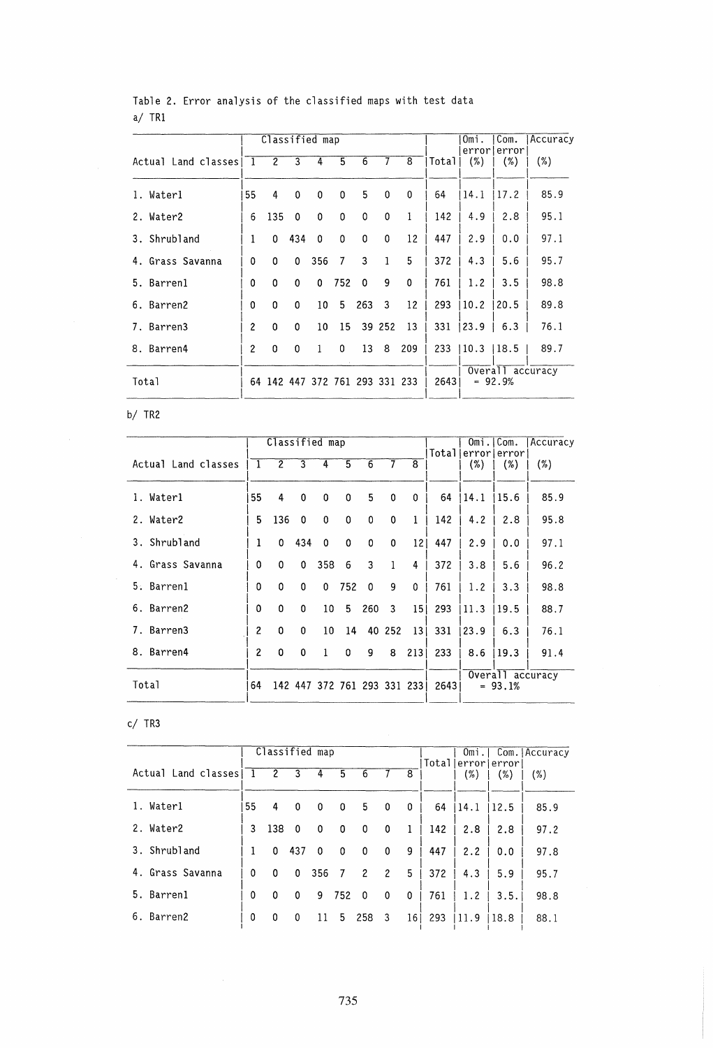|                     |               |                |                | Classified map                 |             |              |              |     |        | Omi.         | Com.                          | Accuracy |
|---------------------|---------------|----------------|----------------|--------------------------------|-------------|--------------|--------------|-----|--------|--------------|-------------------------------|----------|
| Actual Land classes | -1            | $\overline{2}$ | $\overline{3}$ | 4                              | 5           | 6            | 7            | 8   | Totall | $(\%)$       | errorlerror<br>$(\% )$        | $(\%)$   |
| 1. Waterl           | 55            | 4              | 0              | 0                              | 0           | 5            | $\mathbf 0$  | 0   | 64     | 14.1         | 17.2                          | 85.9     |
| 2. Water2           | 6             | 135            | 0              | 0                              | $\mathbf 0$ | 0            | $\mathbf 0$  | 1   | 142    | 4.9          | 2.8                           | 95.1     |
| 3. Shrubland        | 1             | 0              | 434            | $\Omega$                       | 0           | $\mathbf{0}$ | $\mathbf{0}$ | 12  | 447    | 2.9          | 0.0                           | 97.1     |
| 4. Grass Savanna    | $\Omega$      | $\mathbf 0$    | 0              | 356                            | 7           | 3            | 1            | 5   | 372    | 4.3          | 5.6                           | 95.7     |
| 5. Barrenl          | 0             | 0              | 0              | $\mathbf{0}$                   | 752         | $\Omega$     | 9            | 0   | 761    | 1.2          | 3.5                           | 98.8     |
| 6. Barren2          | 0             | $\Omega$       | 0              | 10                             | 5           | 263          | 3            | 12  | 293    | 10.2         | 20.5                          | 89.8     |
| 7. Barren3          | $\mathbf{2}$  | $\Omega$       | 0              | 10                             | 15          |              | 39 252       | 13  | 331    | 123.9        | 6.3                           | 76.1     |
| 8. Barren4          | $\mathcal{P}$ | $\Omega$       | 0              | $\mathbf{1}$                   | 0           | 13           | 8            | 209 |        | $233$   10.3 | 18.5                          | 89.7     |
| Total               |               |                |                | 64 142 447 372 761 293 331 233 |             |              |              |     | 2643   |              | Overall accuracy<br>$= 92.9%$ |          |

# Table 2. Error analysis of the classified maps with test data  $a/TR1$

 $b/$  TR2

|                     |                | Classified map |             |                             |             |     |          |                 | Total | Omi. | Com.<br>error error           | Accuracy |
|---------------------|----------------|----------------|-------------|-----------------------------|-------------|-----|----------|-----------------|-------|------|-------------------------------|----------|
| Actual Land classes | 1              | $\overline{c}$ | 3           | 4                           | 5           | 6   |          | 8               |       | (%)  | (%)                           | (%)      |
| 1. Waterl           | 55             | 4              | $\mathbf 0$ | 0                           | 0           | 5   | 0        | 0               | 64    | 14.1 | 15.6                          | 85.9     |
| 2. Water2           | 5.             | 136            | $\Omega$    | $\mathbf 0$                 | 0           | 0   | 0        | 1               | 142   | 4.2  | 2.8                           | 95.8     |
| 3. Shrubland        | 1              | 0              | 434         | $\Omega$                    | $\mathbf 0$ | 0   | $\Omega$ | 12              | 447   | 2.9  | 0.0                           | 97.1     |
| 4. Grass Savanna    | 0              | $\Omega$       | $\Omega$    | 358                         | 6           | 3   | 1        | 4               | 372   | 3.8  | 5.6                           | 96.2     |
| 5. Barren1          | 0              | 0              | 0           | 0                           | 752         | 0   | 9        | 0               | 761   | 1.2  | 3.3                           | 98.8     |
| 6. Barren2          | 0              | 0              | 0           | 10                          | 5           | 260 | 3        | 15 <sub>1</sub> | 293   | 11.3 | 19.5                          | 88.7     |
| 7. Barren3          | 2              | 0              | 0           | 10                          | 14          |     | 40 252   | 13 <sub>1</sub> | 331   | 23.9 | 6.3                           | 76.1     |
| 8. Barren4          | $\overline{c}$ | 0              | 0           |                             | 0           | 9   | 8        | 213             | 233   | 8.6  | 19.3                          | 91.4     |
| Total               | 64             |                |             | 142 447 372 761 293 331 233 |             |     |          |                 | 26431 |      | Overall accuracy<br>$= 93.1%$ |          |

# $c/$  TR3

|                     |          |                | Omi.     |          | Com. Accuracy |     |                |    |       |               |                   |      |
|---------------------|----------|----------------|----------|----------|---------------|-----|----------------|----|-------|---------------|-------------------|------|
| Actual Land classes | -1       | $\overline{c}$ | 3        | 4        | 5             | 6   |                | 8  | Total | errorl<br>(%) | ∣error∣<br>$(\%)$ | (%)  |
| 1. Waterl           | 55       | 4              | 0        | $\Omega$ | 0             | 5   | $\mathbf 0$    | 0  | 64    | 14.1          | 12.5              | 85.9 |
| 2. Water2           | 3        | 138            | - 0      | 0        | 0             | 0   | 0              | 1  | 142   | 2.8           | 2.8               | 97.2 |
| 3. Shrubland        | 1        | 0              | 437      | $\Omega$ | $\mathbf{0}$  | 0   | $\mathbf 0$    | 9  | 447   | 2.2           | 0.0               | 97.8 |
| Grass Savanna<br>4. | $\Omega$ | $\Omega$       | $\Omega$ | 356      | 7             | 2   | $\overline{c}$ | 5  | 372   | 4.3           | 5.9               | 95.7 |
| 5. Barren1          | $\Omega$ | 0              | 0        | 9        | 752           | 0   | 0              | 0  | 761   | 1.2           | 3.5.              | 98.8 |
| 6. Barren2          | 0        | 0              | 0        | 11       | 5             | 258 | 3              | 16 | 293   | 11.9          | 18.8              | 88.1 |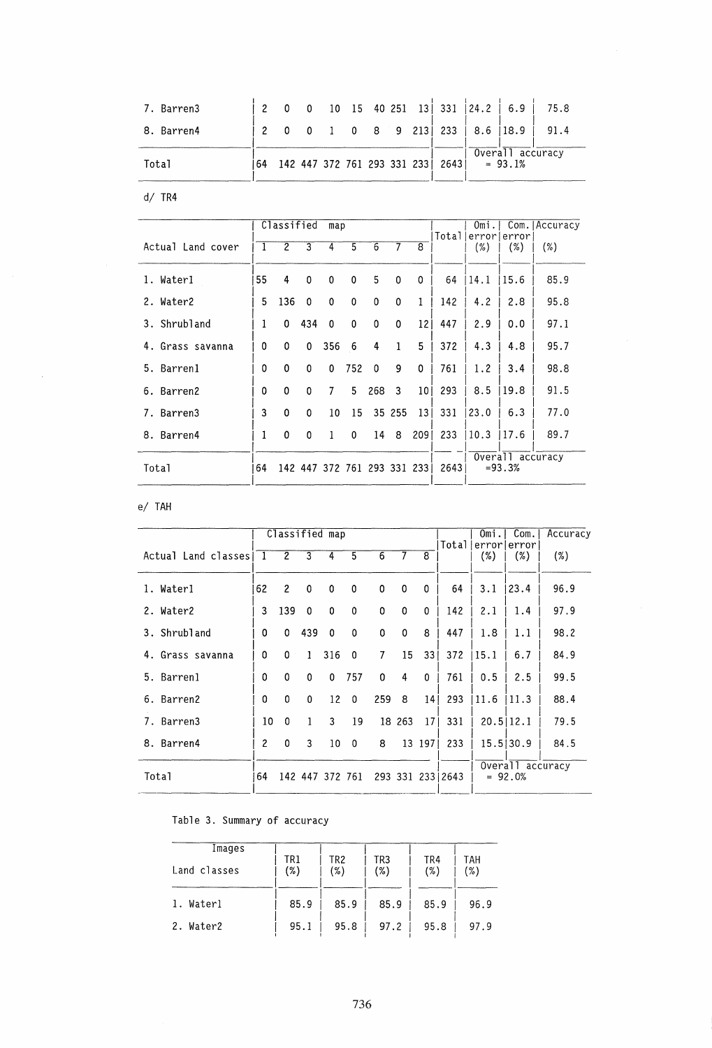| 7. Barren3 |    |  |  |  |                                  | 0 10 15 40 251 13 331 24.2 6.9     | 75.8 |
|------------|----|--|--|--|----------------------------------|------------------------------------|------|
| 8. Barren4 |    |  |  |  |                                  | 0 0 1 0 8 9 213   233   8.6   18.9 | 91.4 |
| Total      | 64 |  |  |  | 142 447 372 761 293 331 233 2643 | Overall accuracy<br>$= 93.1%$      |      |

 $d / TR4$ 

|                     |    | Classified     |                | map                         |     |                |             |                 |       | Omi. |                               | Com. Accuracy |
|---------------------|----|----------------|----------------|-----------------------------|-----|----------------|-------------|-----------------|-------|------|-------------------------------|---------------|
| Actual Land cover   |    | $\overline{2}$ | $\overline{3}$ | 4                           | 5   | $\overline{6}$ | 7           | $\overline{8}$  | Total | (%)  | errorlerror<br>(%)            | (%)           |
| 1. Waterl           | 55 | 4              | 0              | 0                           | 0   | 5              | $\mathbf 0$ | 0               | 64    | 14.1 | 15.6                          | 85.9          |
| 2. Water2           | 5  | 136            | $\mathbf 0$    | $\Omega$                    | 0   | $\Omega$       | $\mathbf 0$ | 1               | 142   | 4.2  | 2.8                           | 95.8          |
| 3. Shrubland        | 1  | 0              | 434            | $\mathbf{0}$                | 0   | 0              | 0           | 121             | 447   | 2.9  | 0.0                           | 97.1          |
| Grass savanna<br>4. | 0  | 0              | 0              | 356                         | 6   | 4              | 1           | 5               | 372   | 4.3  | 4.8                           | 95.7          |
| 5. Barrenl          | 0  | 0              | 0              | $\Omega$                    | 752 | $\Omega$       | 9           | 0               | 761   | 1.2  | 3.4                           | 98.8          |
| 6. Barren2          | 0  | 0              | 0              | 7                           | 5   | 268            | 3           | 10 <sub>1</sub> | 293   | 8.5  | 19.8                          | 91.5          |
| 7. Barren3          | 3  | 0              | 0              | 10                          | 15  |                | 35 255      | 13 <sup>1</sup> | 331   | 23.0 | 6.3                           | 77.0          |
| 8. Barren4          |    | 0              | 0              | 1                           | 0   | 14             | 8           | 2091            | 233   | 10.3 | 17.6                          | 89.7          |
| Total               | 64 |                |                | 142 447 372 761 293 331 233 |     |                |             |                 | 2643  |      | Overall accuracy<br>$= 93.3%$ |               |

e/ TAH

 $\sim$ 

|                     |     | Classified map |                |              |                 |          |          |                 |                  | Omi. | Com.                          | Accuracy |
|---------------------|-----|----------------|----------------|--------------|-----------------|----------|----------|-----------------|------------------|------|-------------------------------|----------|
| Actual Land classes | - 1 | $\overline{2}$ | $\overline{3}$ | 4            | 5               | 6        |          | $\overline{8}$  | Totall           | (%)  | errorlerrorl<br>(%)           | (%)      |
| 1. Waterl           | 62  | $\overline{c}$ | $\mathbf 0$    | 0            | 0               | 0        | 0        | 0               | 64               | 3.1  | 23.4                          | 96.9     |
| 2. Water2           | 3   | 139            | 0              | 0            | 0               | 0        | $\bf{0}$ | 0               | 142              | 2.1  | 1.4                           | 97.9     |
| 3. Shrubland        | 0   | 0              | 439            | $\mathbf{0}$ | $\Omega$        | 0        | 0        | 8               | 447              | 1.8  | 1.1                           | 98.2     |
| 4. Grass savanna    | 0   | 0              | $\mathbf{1}$   | 316          | $\mathbf 0$     | 7        | 15       | 33 <sup>1</sup> | 372              | 15.1 | 6.7                           | 84.9     |
| 5. Barrenl          | ٥   | $\mathbf{0}$   | $\mathbf 0$    | 0            | 757             | $\Omega$ | 4        | $\Omega$        | 761              | 0.5  | 2.5                           | 99.5     |
| 6. Barren2          | 0   | $\Omega$       | $\Omega$       | 12           | $\Omega$        | 259      | 8        | 14 <sup>1</sup> | 293              | 11.6 | 11.3                          | 88.4     |
| 7. Barren3          | 10  | $\Omega$       | 1              | 3            | 19              |          | 18 263   | 17 <sup>1</sup> | 331              |      | 20.5112.1                     | 79.5     |
| 8. Barren4          | 2   | 0              | 3              | 10           | $\Omega$        | 8        |          | 13 197          | 233              |      | 15.5130.9                     | 84.5     |
| Total               | 64  |                |                |              | 142 447 372 761 |          |          |                 | 293 331 233 2643 |      | Overall accuracy<br>$= 92.0%$ |          |

# Table 3. Summary of accuracy

| Images       |            |            |            |            |            |
|--------------|------------|------------|------------|------------|------------|
| Land classes | TR1<br>(%) | TR2<br>(%) | TR3<br>(%) | TR4<br>(%) | TAH<br>(%) |
| 1. Waterl    | 85.9       | 85.9       | 85.9       | 85.9       | 96.9       |
| Water2<br>2. | 95.1       | 95.8       | 97.2       | 95.8       | 97.9       |